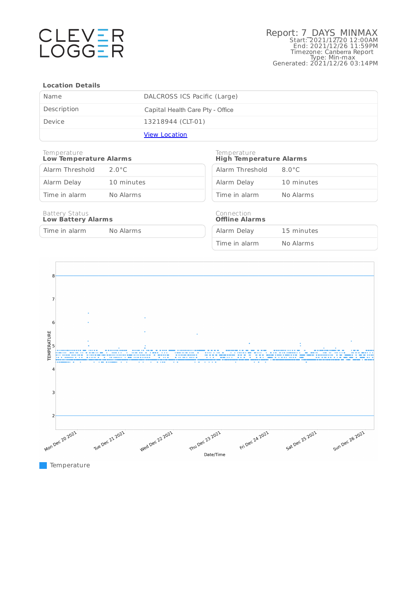

### **Location Details**

| Name        | DALCROSS ICS Pacific (Large)     |
|-------------|----------------------------------|
| Description | Capital Health Care Pty - Office |
| Device      | 13218944 (CLT-01)                |
|             | <b>View Location</b>             |

### Temperature **Low Temperature Alarms**

| Alarm Threshold | $2.0^{\circ}$ C |
|-----------------|-----------------|
| Alarm Delay     | 10 minutes      |
| Time in alarm   | No Alarms       |

### Temperature **High Temperature Alarms**

| Alarm Threshold | $8.0^{\circ}$ C |
|-----------------|-----------------|
| Alarm Delay     | 10 minutes      |
| Time in alarm   | No Alarms       |

### Battery Status **Low Battery Alarms**

Time in alarm No Alarms

### Connection **Offline Alarms**

| Alarm Delay   | 15 minutes |
|---------------|------------|
| Time in alarm | No Alarms  |



**Temperature**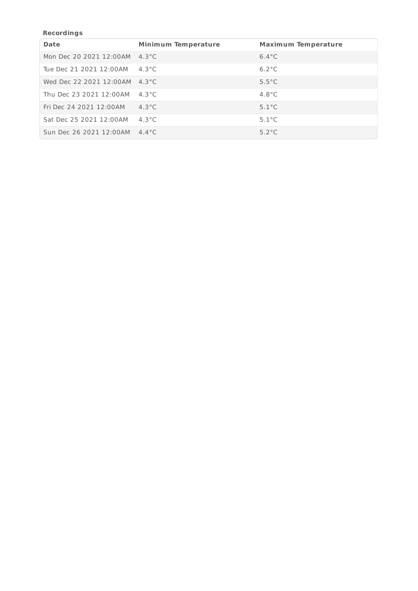# **Recordings**

| <b>Date</b>             | <b>Minimum Temperature</b> | <b>Maximum Temperature</b> |
|-------------------------|----------------------------|----------------------------|
| Mon Dec 20 2021 12:00AM | $4.3^{\circ}$ C            | $6.4^{\circ}$ C            |
| Tue Dec 21 2021 12:00AM | $4.3^{\circ}$ C            | $6.2^{\circ}$ C            |
| Wed Dec 22 2021 12:00AM | $4.3^{\circ}$ C            | $5.5^{\circ}$ C            |
| Thu Dec 23 2021 12:00AM | 4.3 $^{\circ}$ C           | $4.8^{\circ}$ C            |
| Fri Dec 24 2021 12:00AM | $4.3^{\circ}$ C            | $5.1^{\circ}$ C            |
| Sat Dec 25 2021 12:00AM | $4.3^{\circ}$ C            | $5.1^{\circ}$ C            |
| Sun Dec 26 2021 12:00AM | $4.4^{\circ}$ C            | $5.2^{\circ}$ C            |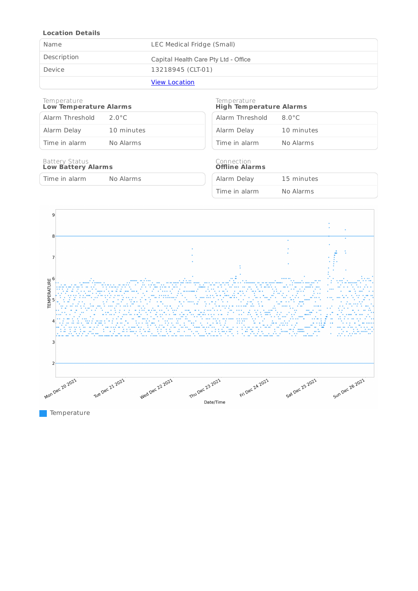## **Location Details**

| Name        | LEC Medical Fridge (Small)           |
|-------------|--------------------------------------|
| Description | Capital Health Care Pty Ltd - Office |
| Device      | 13218945 (CLT-01)                    |
|             | <b>View Location</b>                 |

### Temperature **Low Temperature Alarms**

| Alarm Threshold | $2.0^{\circ}$ C |
|-----------------|-----------------|
| Alarm Delay     | 10 minutes      |
| Time in alarm   | No Alarms       |

### Battery Status **Low Battery Alarms**

Time in alarm No Alarms

### Temperature **High Temperature Alarms**

| Alarm Threshold | 8 O°C      |
|-----------------|------------|
| Alarm Delay     | 10 minutes |
| Time in alarm   | No Alarms  |

### Connection **Offline Alarms**

| Alarm Delay   | 15 minutes |
|---------------|------------|
| Time in alarm | No Alarms  |